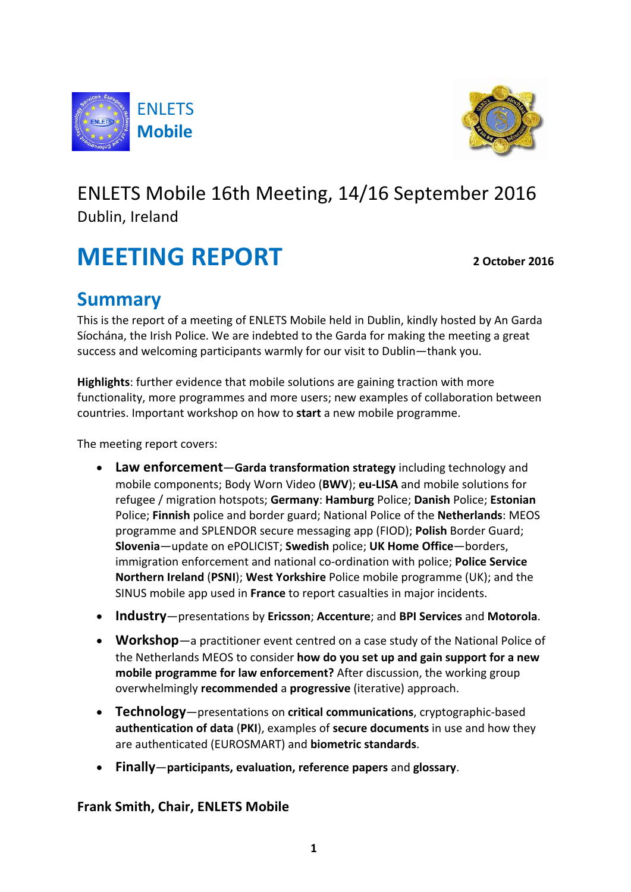



# ENLETS Mobile 16th Meeting, 14/16 September 2016 Dublin, Ireland

# **MEETING REPORT** 2 October 2016

# **Summary**

This is the report of a meeting of ENLETS Mobile held in Dublin, kindly hosted by An Garda Síochána, the Irish Police. We are indebted to the Garda for making the meeting a great success and welcoming participants warmly for our visit to Dublin-thank you.

**Highlights**: further evidence that mobile solutions are gaining traction with more functionality, more programmes and more users; new examples of collaboration between countries. Important workshop on how to **start** a new mobile programme.

The meeting report covers:

- Law enforcement-Garda transformation strategy including technology and mobile components; Body Worn Video (BWV); eu-LISA and mobile solutions for refugee / migration hotspots; **Germany**: **Hamburg** Police; **Danish** Police; **Estonian** Police; Finnish police and border guard; National Police of the Netherlands: MEOS programme and SPLENDOR secure messaging app (FIOD); **Polish** Border Guard; **Slovenia**—update on ePOLICIST; **Swedish** police; UK Home Office—borders, immigration enforcement and national co-ordination with police; **Police Service Northern Ireland (PSNI); West Yorkshire** Police mobile programme (UK); and the SINUS mobile app used in **France** to report casualties in major incidents.
- **Industry**—presentations by **Ericsson**; **Accenture**; and **BPI Services** and **Motorola**.
- **Workshop**—a practitioner event centred on a case study of the National Police of the Netherlands MEOS to consider **how do you set up and gain support for a new mobile programme for law enforcement?** After discussion, the working group overwhelmingly **recommended** a **progressive** (iterative) approach.
- **Technology**—presentations on critical communications, cryptographic-based **authentication of data (PKI)**, examples of **secure documents** in use and how they are authenticated (EUROSMART) and **biometric standards**.
- **Finally**—**participants, evaluation, reference papers** and **glossary**.

#### **Frank Smith, Chair, ENLETS Mobile**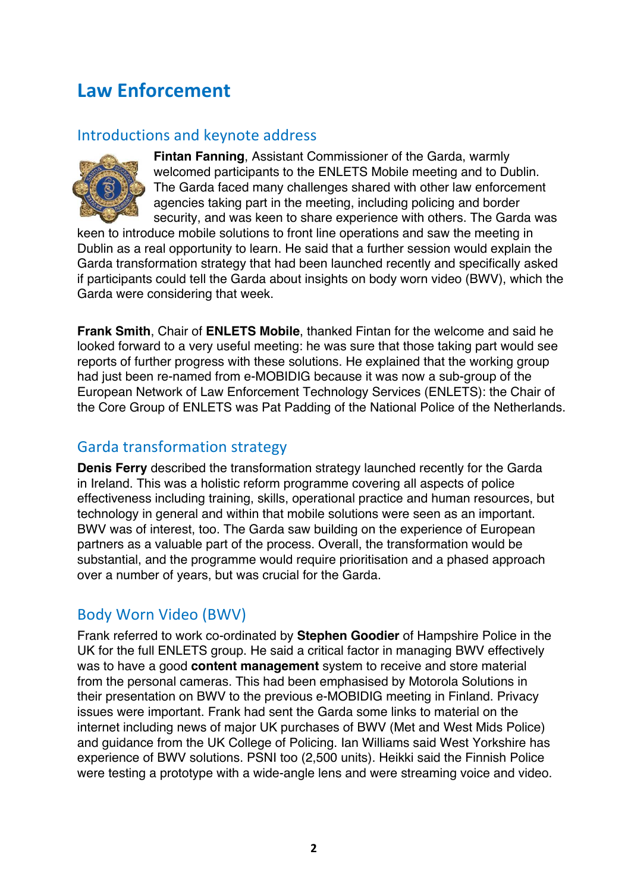# **Law Enforcement**

#### Introductions and keynote address



**Fintan Fanning**, Assistant Commissioner of the Garda, warmly welcomed participants to the ENLETS Mobile meeting and to Dublin. The Garda faced many challenges shared with other law enforcement agencies taking part in the meeting, including policing and border security, and was keen to share experience with others. The Garda was

keen to introduce mobile solutions to front line operations and saw the meeting in Dublin as a real opportunity to learn. He said that a further session would explain the Garda transformation strategy that had been launched recently and specifically asked if participants could tell the Garda about insights on body worn video (BWV), which the Garda were considering that week.

**Frank Smith**, Chair of **ENLETS Mobile**, thanked Fintan for the welcome and said he looked forward to a very useful meeting: he was sure that those taking part would see reports of further progress with these solutions. He explained that the working group had just been re-named from e-MOBIDIG because it was now a sub-group of the European Network of Law Enforcement Technology Services (ENLETS): the Chair of the Core Group of ENLETS was Pat Padding of the National Police of the Netherlands.

#### Garda transformation strategy

**Denis Ferry** described the transformation strategy launched recently for the Garda in Ireland. This was a holistic reform programme covering all aspects of police effectiveness including training, skills, operational practice and human resources, but technology in general and within that mobile solutions were seen as an important. BWV was of interest, too. The Garda saw building on the experience of European partners as a valuable part of the process. Overall, the transformation would be substantial, and the programme would require prioritisation and a phased approach over a number of years, but was crucial for the Garda.

#### Body Worn Video (BWV)

Frank referred to work co-ordinated by **Stephen Goodier** of Hampshire Police in the UK for the full ENLETS group. He said a critical factor in managing BWV effectively was to have a good **content management** system to receive and store material from the personal cameras. This had been emphasised by Motorola Solutions in their presentation on BWV to the previous e-MOBIDIG meeting in Finland. Privacy issues were important. Frank had sent the Garda some links to material on the internet including news of major UK purchases of BWV (Met and West Mids Police) and guidance from the UK College of Policing. Ian Williams said West Yorkshire has experience of BWV solutions. PSNI too (2,500 units). Heikki said the Finnish Police were testing a prototype with a wide-angle lens and were streaming voice and video.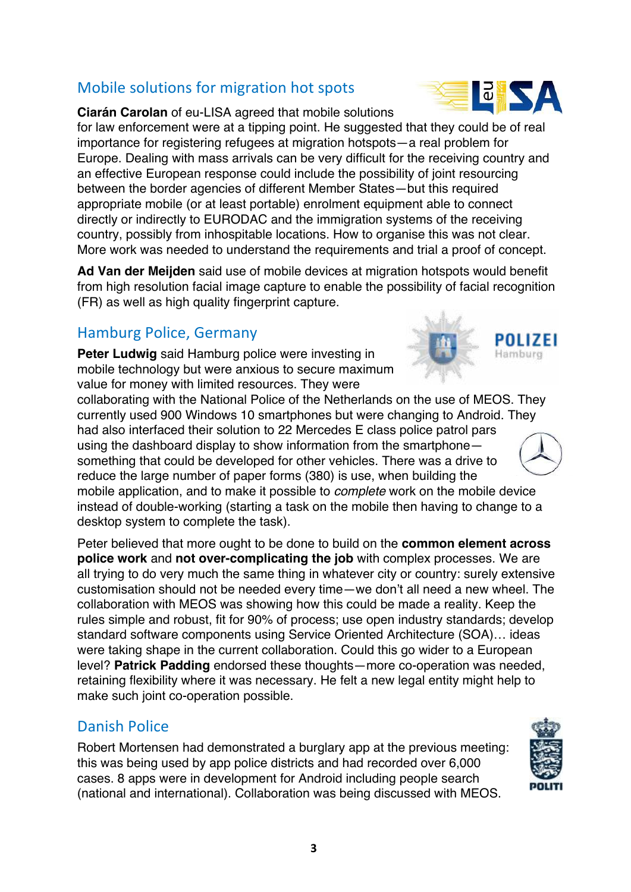## Mobile solutions for migration hot spots

**Ciarán Carolan** of eu-LISA agreed that mobile solutions

for law enforcement were at a tipping point. He suggested that they could be of real importance for registering refugees at migration hotspots—a real problem for Europe. Dealing with mass arrivals can be very difficult for the receiving country and an effective European response could include the possibility of joint resourcing between the border agencies of different Member States—but this required appropriate mobile (or at least portable) enrolment equipment able to connect directly or indirectly to EURODAC and the immigration systems of the receiving country, possibly from inhospitable locations. How to organise this was not clear. More work was needed to understand the requirements and trial a proof of concept.

**Ad Van der Meijden** said use of mobile devices at migration hotspots would benefit from high resolution facial image capture to enable the possibility of facial recognition (FR) as well as high quality fingerprint capture.

## Hamburg Police, Germany

**Peter Ludwig** said Hamburg police were investing in mobile technology but were anxious to secure maximum value for money with limited resources. They were

collaborating with the National Police of the Netherlands on the use of MEOS. They currently used 900 Windows 10 smartphones but were changing to Android. They had also interfaced their solution to 22 Mercedes E class police patrol pars using the dashboard display to show information from the smartphone something that could be developed for other vehicles. There was a drive to reduce the large number of paper forms (380) is use, when building the mobile application, and to make it possible to complete work on the mobile device instead of double-working (starting a task on the mobile then having to change to a desktop system to complete the task).

Peter believed that more ought to be done to build on the **common element across police work** and **not over-complicating the job** with complex processes. We are all trying to do very much the same thing in whatever city or country: surely extensive customisation should not be needed every time—we don't all need a new wheel. The collaboration with MEOS was showing how this could be made a reality. Keep the rules simple and robust, fit for 90% of process; use open industry standards; develop standard software components using Service Oriented Architecture (SOA)… ideas were taking shape in the current collaboration. Could this go wider to a European level? **Patrick Padding** endorsed these thoughts—more co-operation was needed, retaining flexibility where it was necessary. He felt a new legal entity might help to make such joint co-operation possible.

## Danish Police

Robert Mortensen had demonstrated a burglary app at the previous meeting: this was being used by app police districts and had recorded over 6,000 cases. 8 apps were in development for Android including people search (national and international). Collaboration was being discussed with MEOS.







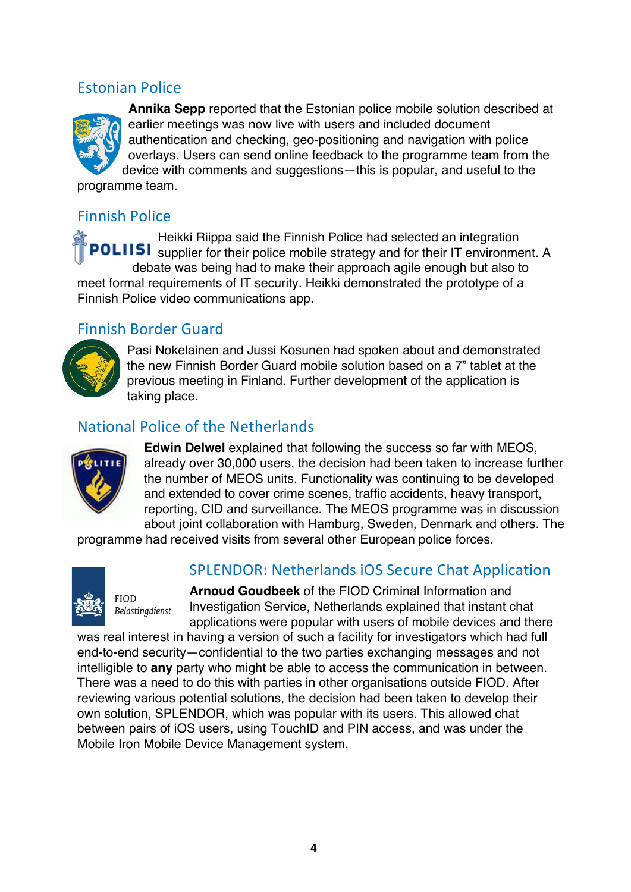## Estonian Police



**Annika Sepp** reported that the Estonian police mobile solution described at earlier meetings was now live with users and included document authentication and checking, geo-positioning and navigation with police overlays. Users can send online feedback to the programme team from the device with comments and suggestions—this is popular, and useful to the programme team.

## Finnish Police

Heikki Riippa said the Finnish Police had selected an integration POLIISI supplier for their police mobile strategy and for their IT environment. A debate was being had to make their approach agile enough but also to meet formal requirements of IT security. Heikki demonstrated the prototype of a Finnish Police video communications app.

#### Finnish Border Guard



Pasi Nokelainen and Jussi Kosunen had spoken about and demonstrated the new Finnish Border Guard mobile solution based on a 7" tablet at the previous meeting in Finland. Further development of the application is taking place.

#### National Police of the Netherlands



**Edwin Delwel** explained that following the success so far with MEOS, already over 30,000 users, the decision had been taken to increase further the number of MEOS units. Functionality was continuing to be developed and extended to cover crime scenes, traffic accidents, heavy transport, reporting, CID and surveillance. The MEOS programme was in discussion about joint collaboration with Hamburg, Sweden, Denmark and others. The

programme had received visits from several other European police forces.



**FIOD** 

Belastinadienst

## SPLENDOR: Netherlands iOS Secure Chat Application

**Arnoud Goudbeek** of the FIOD Criminal Information and Investigation Service, Netherlands explained that instant chat applications were popular with users of mobile devices and there

was real interest in having a version of such a facility for investigators which had full end-to-end security—confidential to the two parties exchanging messages and not intelligible to **any** party who might be able to access the communication in between. There was a need to do this with parties in other organisations outside FIOD. After reviewing various potential solutions, the decision had been taken to develop their own solution, SPLENDOR, which was popular with its users. This allowed chat between pairs of iOS users, using TouchID and PIN access, and was under the Mobile Iron Mobile Device Management system.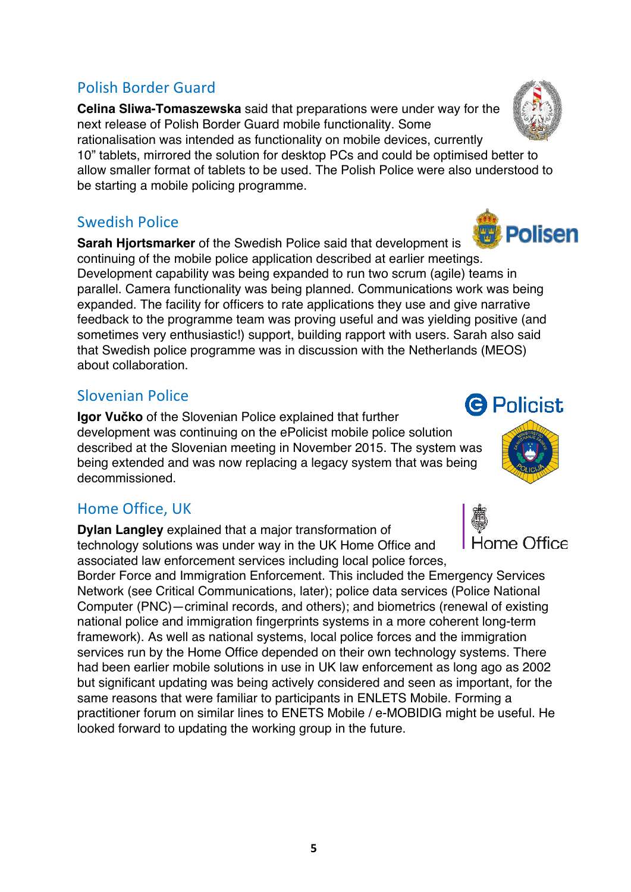## Polish Border Guard

**Celina Sliwa-Tomaszewska** said that preparations were under way for the next release of Polish Border Guard mobile functionality. Some rationalisation was intended as functionality on mobile devices, currently

10" tablets, mirrored the solution for desktop PCs and could be optimised better to allow smaller format of tablets to be used. The Polish Police were also understood to be starting a mobile policing programme.

#### Swedish Police

Polisen **Sarah Hjortsmarker** of the Swedish Police said that development is continuing of the mobile police application described at earlier meetings. Development capability was being expanded to run two scrum (agile) teams in parallel. Camera functionality was being planned. Communications work was being expanded. The facility for officers to rate applications they use and give narrative feedback to the programme team was proving useful and was yielding positive (and sometimes very enthusiastic!) support, building rapport with users. Sarah also said that Swedish police programme was in discussion with the Netherlands (MEOS) about collaboration.

## Slovenian Police

**Igor Vučko** of the Slovenian Police explained that further development was continuing on the ePolicist mobile police solution described at the Slovenian meeting in November 2015. The system was being extended and was now replacing a legacy system that was being decommissioned.

# Home Office, UK

**Dylan Langley** explained that a major transformation of technology solutions was under way in the UK Home Office and associated law enforcement services including local police forces,

Border Force and Immigration Enforcement. This included the Emergency Services Network (see Critical Communications, later); police data services (Police National Computer (PNC)—criminal records, and others); and biometrics (renewal of existing national police and immigration fingerprints systems in a more coherent long-term framework). As well as national systems, local police forces and the immigration services run by the Home Office depended on their own technology systems. There had been earlier mobile solutions in use in UK law enforcement as long ago as 2002 but significant updating was being actively considered and seen as important, for the same reasons that were familiar to participants in ENLETS Mobile. Forming a practitioner forum on similar lines to ENETS Mobile / e-MOBIDIG might be useful. He looked forward to updating the working group in the future.





# **G** Policist

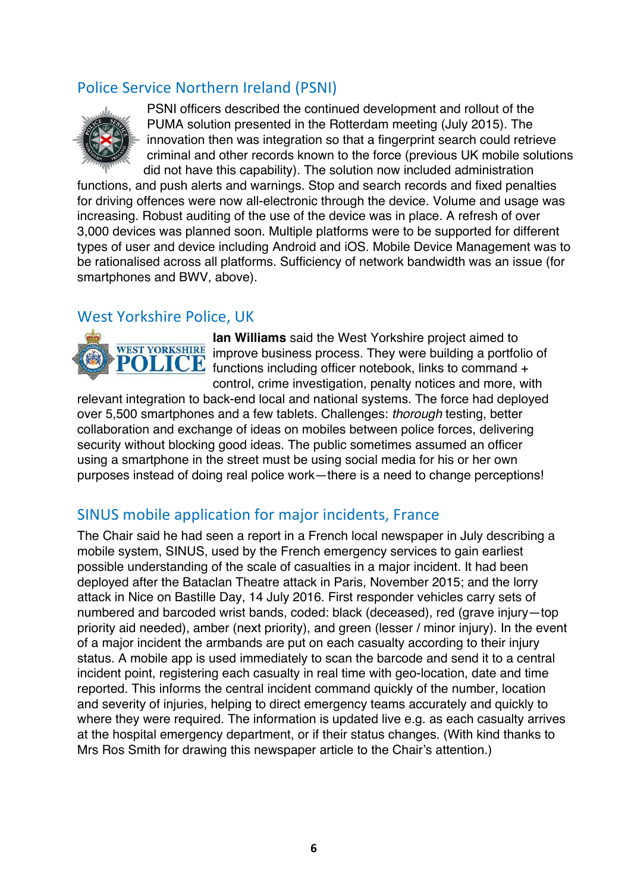## Police Service Northern Ireland (PSNI)



PSNI officers described the continued development and rollout of the PUMA solution presented in the Rotterdam meeting (July 2015). The innovation then was integration so that a fingerprint search could retrieve criminal and other records known to the force (previous UK mobile solutions did not have this capability). The solution now included administration

functions, and push alerts and warnings. Stop and search records and fixed penalties for driving offences were now all-electronic through the device. Volume and usage was increasing. Robust auditing of the use of the device was in place. A refresh of over 3,000 devices was planned soon. Multiple platforms were to be supported for different types of user and device including Android and iOS. Mobile Device Management was to be rationalised across all platforms. Sufficiency of network bandwidth was an issue (for smartphones and BWV, above).

#### West Yorkshire Police, UK



**Ian Williams** said the West Yorkshire project aimed to WEST YORKSHIRE improve business process. They were building a portfolio of **POLICE** functions including officer notebook, links to command + control, crime investigation, penalty notices and more, with

relevant integration to back-end local and national systems. The force had deployed over 5,500 smartphones and a few tablets. Challenges: thorough testing, better collaboration and exchange of ideas on mobiles between police forces, delivering security without blocking good ideas. The public sometimes assumed an officer using a smartphone in the street must be using social media for his or her own purposes instead of doing real police work—there is a need to change perceptions!

## SINUS mobile application for major incidents, France

The Chair said he had seen a report in a French local newspaper in July describing a mobile system, SINUS, used by the French emergency services to gain earliest possible understanding of the scale of casualties in a major incident. It had been deployed after the Bataclan Theatre attack in Paris, November 2015; and the lorry attack in Nice on Bastille Day, 14 July 2016. First responder vehicles carry sets of numbered and barcoded wrist bands, coded: black (deceased), red (grave injury—top priority aid needed), amber (next priority), and green (lesser / minor injury). In the event of a major incident the armbands are put on each casualty according to their injury status. A mobile app is used immediately to scan the barcode and send it to a central incident point, registering each casualty in real time with geo-location, date and time reported. This informs the central incident command quickly of the number, location and severity of injuries, helping to direct emergency teams accurately and quickly to where they were required. The information is updated live e.g. as each casualty arrives at the hospital emergency department, or if their status changes. (With kind thanks to Mrs Ros Smith for drawing this newspaper article to the Chair's attention.)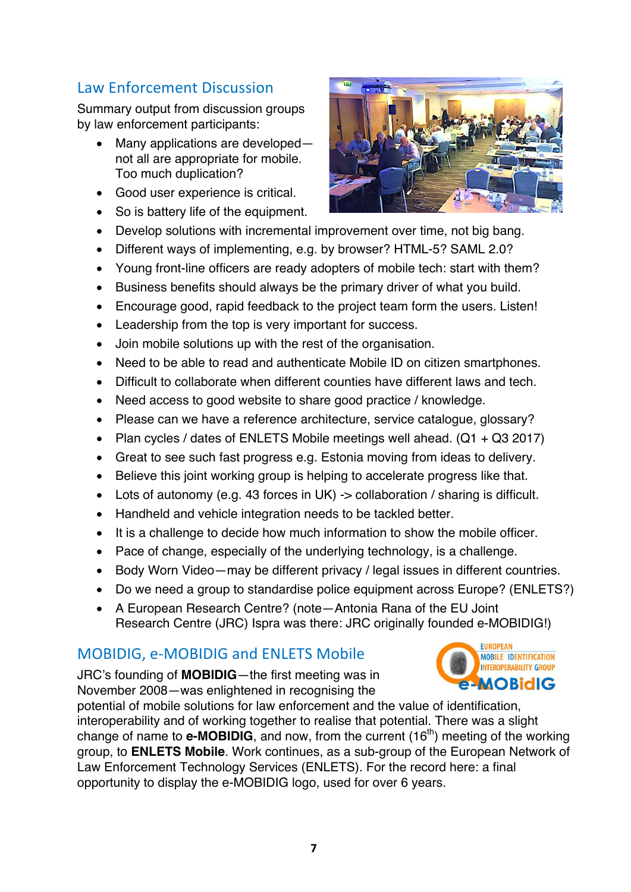## Law Enforcement Discussion

Summary output from discussion groups by law enforcement participants:

- Many applications are developed not all are appropriate for mobile. Too much duplication?
- Good user experience is critical.
- So is battery life of the equipment.
- Develop solutions with incremental improvement over time, not big bang.
- Different ways of implementing, e.g. by browser? HTML-5? SAML 2.0?
- Young front-line officers are ready adopters of mobile tech: start with them?
- Business benefits should always be the primary driver of what you build.
- Encourage good, rapid feedback to the project team form the users. Listen!
- Leadership from the top is very important for success.
- Join mobile solutions up with the rest of the organisation.
- Need to be able to read and authenticate Mobile ID on citizen smartphones.
- Difficult to collaborate when different counties have different laws and tech.
- Need access to good website to share good practice / knowledge.
- Please can we have a reference architecture, service catalogue, glossary?
- Plan cycles / dates of ENLETS Mobile meetings well ahead.  $(Q1 + Q3 2017)$
- Great to see such fast progress e.g. Estonia moving from ideas to delivery.
- Believe this joint working group is helping to accelerate progress like that.
- Lots of autonomy (e.g. 43 forces in UK) -> collaboration / sharing is difficult.
- Handheld and vehicle integration needs to be tackled better.
- It is a challenge to decide how much information to show the mobile officer.
- Pace of change, especially of the underlying technology, is a challenge.
- Body Worn Video—may be different privacy / legal issues in different countries.
- Do we need a group to standardise police equipment across Europe? (ENLETS?)
- A European Research Centre? (note—Antonia Rana of the EU Joint Research Centre (JRC) Ispra was there: JRC originally founded e-MOBIDIG!)

#### MOBIDIG, e-MOBIDIG and ENLETS Mobile

JRC's founding of **MOBIDIG**—the first meeting was in November 2008—was enlightened in recognising the



potential of mobile solutions for law enforcement and the value of identification, interoperability and of working together to realise that potential. There was a slight change of name to **e-MOBIDIG**, and now, from the current (16<sup>th</sup>) meeting of the working group, to **ENLETS Mobile**. Work continues, as a sub-group of the European Network of Law Enforcement Technology Services (ENLETS). For the record here: a final opportunity to display the e-MOBIDIG logo, used for over 6 years.

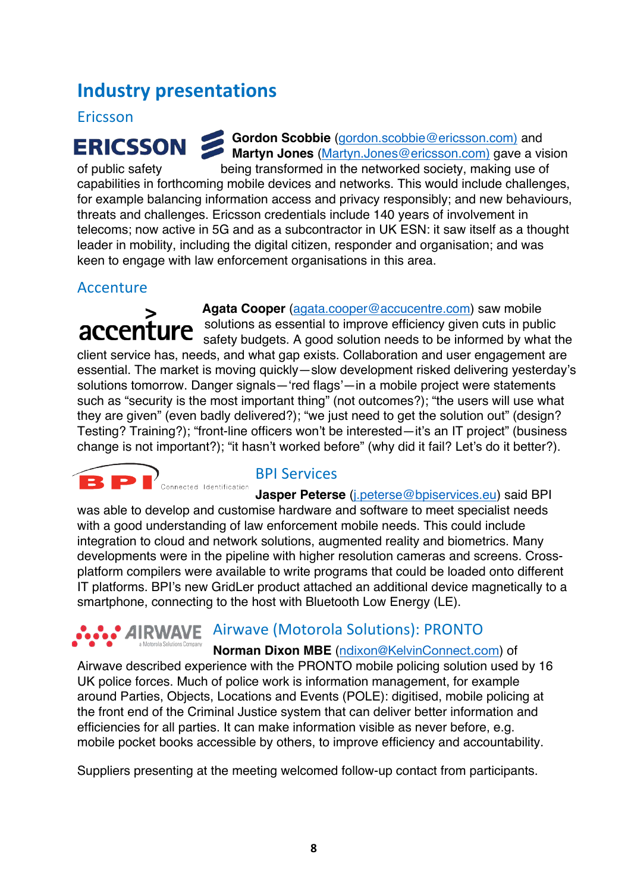# **Industry presentations**

#### Ericsson

**ERICSSON** 

Gordon Scobbie (gordon.scobbie@ericsson.com) and **Martyn Jones** (Martyn.Jones@ericsson.com) gave a vision

of public safety being transformed in the networked society, making use of capabilities in forthcoming mobile devices and networks. This would include challenges, for example balancing information access and privacy responsibly; and new behaviours, threats and challenges. Ericsson credentials include 140 years of involvement in telecoms; now active in 5G and as a subcontractor in UK ESN: it saw itself as a thought leader in mobility, including the digital citizen, responder and organisation; and was keen to engage with law enforcement organisations in this area.

#### Accenture

 **Agata Cooper** (agata.cooper@accucentre.com) saw mobile solutions as essential to improve efficiency given cuts in public accenture safety budgets. A good solution needs to be informed by what the client service has, needs, and what gap exists. Collaboration and user engagement are essential. The market is moving quickly—slow development risked delivering yesterday's solutions tomorrow. Danger signals—'red flags'—in a mobile project were statements such as "security is the most important thing" (not outcomes?); "the users will use what they are given" (even badly delivered?); "we just need to get the solution out" (design? Testing? Training?); "front-line officers won't be interested—it's an IT project" (business change is not important?); "it hasn't worked before" (why did it fail? Let's do it better?).



#### **BPI** Services

**Jasper Peterse** (j.peterse@bpiservices.eu) said BPI was able to develop and customise hardware and software to meet specialist needs with a good understanding of law enforcement mobile needs. This could include integration to cloud and network solutions, augmented reality and biometrics. Many developments were in the pipeline with higher resolution cameras and screens. Crossplatform compilers were available to write programs that could be loaded onto different IT platforms. BPI's new GridLer product attached an additional device magnetically to a smartphone, connecting to the host with Bluetooth Low Energy (LE).

#### **AIRWAVE** Airwave (Motorola Solutions): PRONTO a Motorola Solutions Company

**Norman Dixon MBE** (ndixon@KelvinConnect.com) of

Airwave described experience with the PRONTO mobile policing solution used by 16 UK police forces. Much of police work is information management, for example around Parties, Objects, Locations and Events (POLE): digitised, mobile policing at the front end of the Criminal Justice system that can deliver better information and efficiencies for all parties. It can make information visible as never before, e.g. mobile pocket books accessible by others, to improve efficiency and accountability.

Suppliers presenting at the meeting welcomed follow-up contact from participants.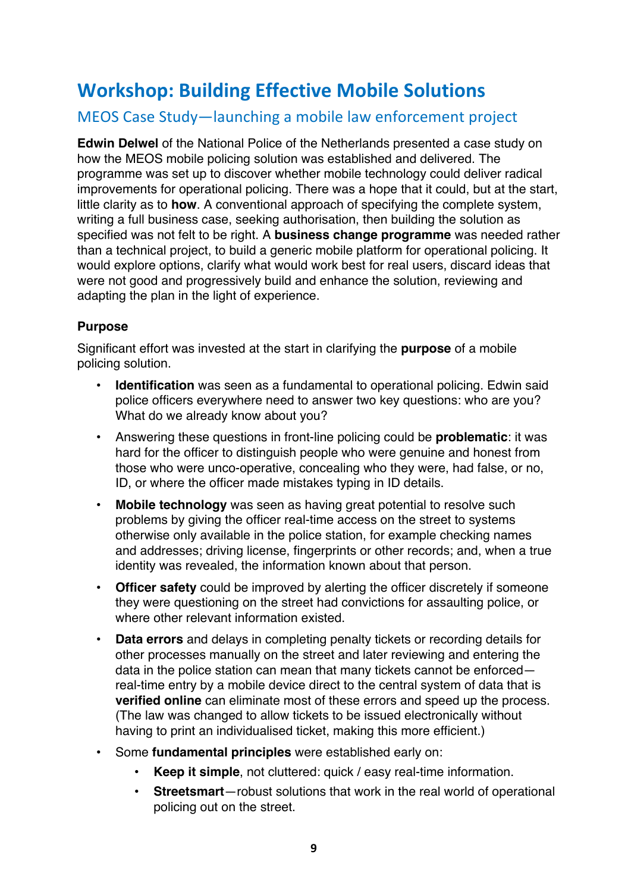# **Workshop: Building Effective Mobile Solutions**

## MEOS Case Study—launching a mobile law enforcement project

**Edwin Delwel** of the National Police of the Netherlands presented a case study on how the MEOS mobile policing solution was established and delivered. The programme was set up to discover whether mobile technology could deliver radical improvements for operational policing. There was a hope that it could, but at the start, little clarity as to **how**. A conventional approach of specifying the complete system, writing a full business case, seeking authorisation, then building the solution as specified was not felt to be right. A **business change programme** was needed rather than a technical project, to build a generic mobile platform for operational policing. It would explore options, clarify what would work best for real users, discard ideas that were not good and progressively build and enhance the solution, reviewing and adapting the plan in the light of experience.

#### **Purpose**

Significant effort was invested at the start in clarifying the **purpose** of a mobile policing solution.

- **Identification** was seen as a fundamental to operational policing. Edwin said police officers everywhere need to answer two key questions: who are you? What do we already know about you?
- Answering these questions in front-line policing could be **problematic**: it was hard for the officer to distinguish people who were genuine and honest from those who were unco-operative, concealing who they were, had false, or no, ID, or where the officer made mistakes typing in ID details.
- **Mobile technology** was seen as having great potential to resolve such problems by giving the officer real-time access on the street to systems otherwise only available in the police station, for example checking names and addresses; driving license, fingerprints or other records; and, when a true identity was revealed, the information known about that person.
- **Officer safety** could be improved by alerting the officer discretely if someone they were questioning on the street had convictions for assaulting police, or where other relevant information existed.
- **Data errors** and delays in completing penalty tickets or recording details for other processes manually on the street and later reviewing and entering the data in the police station can mean that many tickets cannot be enforced real-time entry by a mobile device direct to the central system of data that is **verified online** can eliminate most of these errors and speed up the process. (The law was changed to allow tickets to be issued electronically without having to print an individualised ticket, making this more efficient.)
- Some **fundamental principles** were established early on:
	- **Keep it simple**, not cluttered: quick / easy real-time information.
	- **Streetsmart**—robust solutions that work in the real world of operational policing out on the street.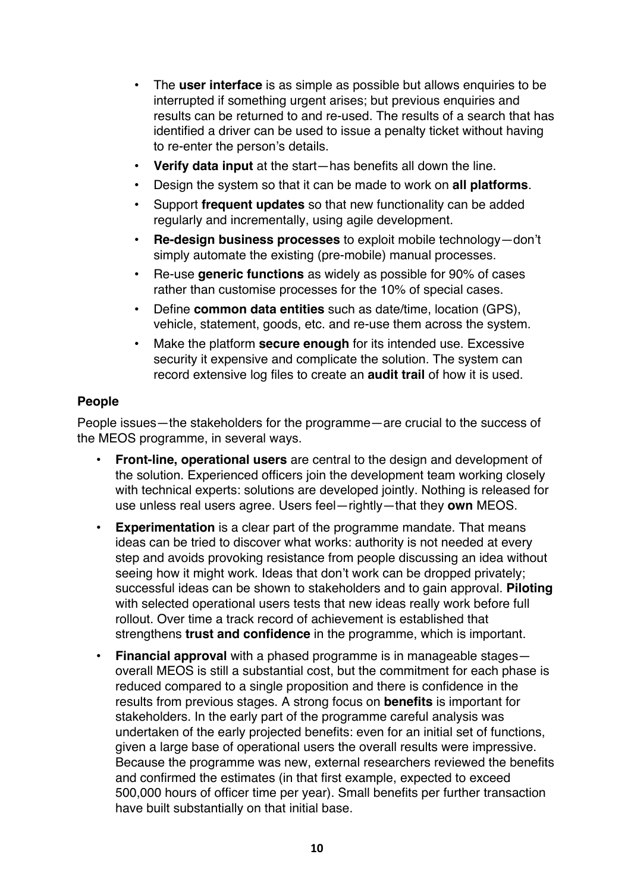- The **user interface** is as simple as possible but allows enquiries to be interrupted if something urgent arises; but previous enquiries and results can be returned to and re-used. The results of a search that has identified a driver can be used to issue a penalty ticket without having to re-enter the person's details.
- **Verify data input** at the start—has benefits all down the line.
- Design the system so that it can be made to work on **all platforms**.
- Support **frequent updates** so that new functionality can be added regularly and incrementally, using agile development.
- **Re-design business processes** to exploit mobile technology—don't simply automate the existing (pre-mobile) manual processes.
- Re-use **generic functions** as widely as possible for 90% of cases rather than customise processes for the 10% of special cases.
- Define **common data entities** such as date/time, location (GPS), vehicle, statement, goods, etc. and re-use them across the system.
- Make the platform **secure enough** for its intended use. Excessive security it expensive and complicate the solution. The system can record extensive log files to create an **audit trail** of how it is used.

#### **People**

People issues—the stakeholders for the programme—are crucial to the success of the MEOS programme, in several ways.

- **Front-line, operational users** are central to the design and development of the solution. Experienced officers join the development team working closely with technical experts: solutions are developed jointly. Nothing is released for use unless real users agree. Users feel—rightly—that they **own** MEOS.
- **Experimentation** is a clear part of the programme mandate. That means ideas can be tried to discover what works: authority is not needed at every step and avoids provoking resistance from people discussing an idea without seeing how it might work. Ideas that don't work can be dropped privately; successful ideas can be shown to stakeholders and to gain approval. **Piloting** with selected operational users tests that new ideas really work before full rollout. Over time a track record of achievement is established that strengthens **trust and confidence** in the programme, which is important.
- **Financial approval** with a phased programme is in manageable stages overall MEOS is still a substantial cost, but the commitment for each phase is reduced compared to a single proposition and there is confidence in the results from previous stages. A strong focus on **benefits** is important for stakeholders. In the early part of the programme careful analysis was undertaken of the early projected benefits: even for an initial set of functions, given a large base of operational users the overall results were impressive. Because the programme was new, external researchers reviewed the benefits and confirmed the estimates (in that first example, expected to exceed 500,000 hours of officer time per year). Small benefits per further transaction have built substantially on that initial base.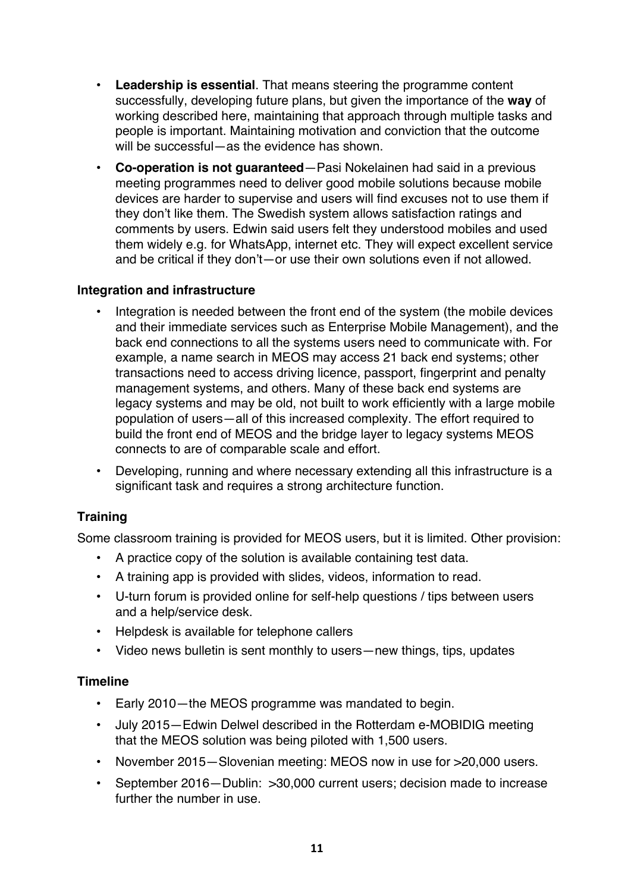- **Leadership is essential**. That means steering the programme content successfully, developing future plans, but given the importance of the **way** of working described here, maintaining that approach through multiple tasks and people is important. Maintaining motivation and conviction that the outcome will be successful—as the evidence has shown
- **Co-operation is not guaranteed**—Pasi Nokelainen had said in a previous meeting programmes need to deliver good mobile solutions because mobile devices are harder to supervise and users will find excuses not to use them if they don't like them. The Swedish system allows satisfaction ratings and comments by users. Edwin said users felt they understood mobiles and used them widely e.g. for WhatsApp, internet etc. They will expect excellent service and be critical if they don't—or use their own solutions even if not allowed.

#### **Integration and infrastructure**

- Integration is needed between the front end of the system (the mobile devices and their immediate services such as Enterprise Mobile Management), and the back end connections to all the systems users need to communicate with. For example, a name search in MEOS may access 21 back end systems; other transactions need to access driving licence, passport, fingerprint and penalty management systems, and others. Many of these back end systems are legacy systems and may be old, not built to work efficiently with a large mobile population of users—all of this increased complexity. The effort required to build the front end of MEOS and the bridge layer to legacy systems MEOS connects to are of comparable scale and effort.
- Developing, running and where necessary extending all this infrastructure is a significant task and requires a strong architecture function.

#### **Training**

Some classroom training is provided for MEOS users, but it is limited. Other provision:

- A practice copy of the solution is available containing test data.
- A training app is provided with slides, videos, information to read.
- U-turn forum is provided online for self-help questions / tips between users and a help/service desk.
- Helpdesk is available for telephone callers
- Video news bulletin is sent monthly to users—new things, tips, updates

#### **Timeline**

- Early 2010—the MEOS programme was mandated to begin.
- July 2015—Edwin Delwel described in the Rotterdam e-MOBIDIG meeting that the MEOS solution was being piloted with 1,500 users.
- November 2015—Slovenian meeting: MEOS now in use for >20,000 users.
- September 2016—Dublin: >30,000 current users; decision made to increase further the number in use.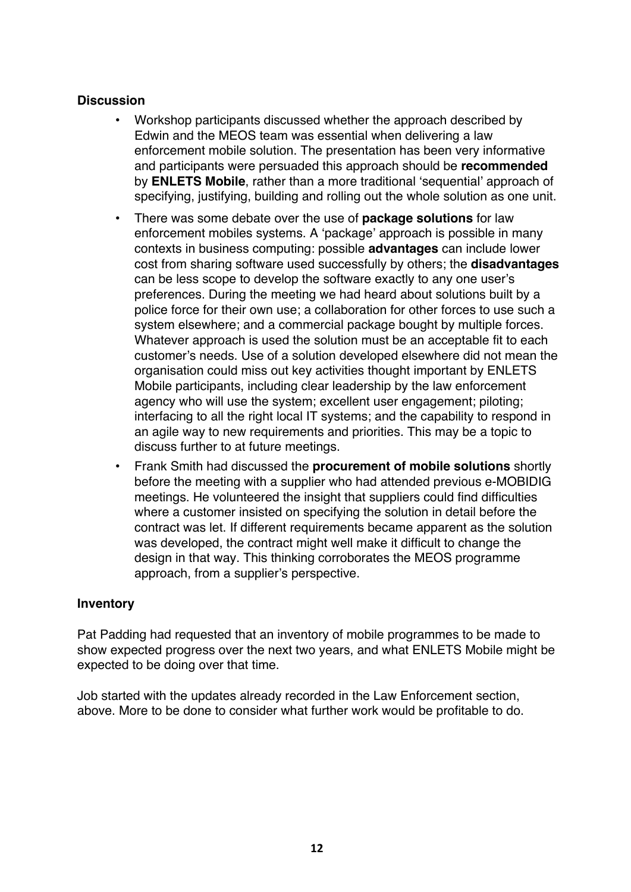#### **Discussion**

- Workshop participants discussed whether the approach described by Edwin and the MEOS team was essential when delivering a law enforcement mobile solution. The presentation has been very informative and participants were persuaded this approach should be **recommended** by **ENLETS Mobile**, rather than a more traditional 'sequential' approach of specifying, justifying, building and rolling out the whole solution as one unit.
- There was some debate over the use of **package solutions** for law enforcement mobiles systems. A 'package' approach is possible in many contexts in business computing: possible **advantages** can include lower cost from sharing software used successfully by others; the **disadvantages** can be less scope to develop the software exactly to any one user's preferences. During the meeting we had heard about solutions built by a police force for their own use; a collaboration for other forces to use such a system elsewhere; and a commercial package bought by multiple forces. Whatever approach is used the solution must be an acceptable fit to each customer's needs. Use of a solution developed elsewhere did not mean the organisation could miss out key activities thought important by ENLETS Mobile participants, including clear leadership by the law enforcement agency who will use the system; excellent user engagement; piloting; interfacing to all the right local IT systems; and the capability to respond in an agile way to new requirements and priorities. This may be a topic to discuss further to at future meetings.
- Frank Smith had discussed the **procurement of mobile solutions** shortly before the meeting with a supplier who had attended previous e-MOBIDIG meetings. He volunteered the insight that suppliers could find difficulties where a customer insisted on specifying the solution in detail before the contract was let. If different requirements became apparent as the solution was developed, the contract might well make it difficult to change the design in that way. This thinking corroborates the MEOS programme approach, from a supplier's perspective.

#### **Inventory**

Pat Padding had requested that an inventory of mobile programmes to be made to show expected progress over the next two years, and what ENLETS Mobile might be expected to be doing over that time.

Job started with the updates already recorded in the Law Enforcement section, above. More to be done to consider what further work would be profitable to do.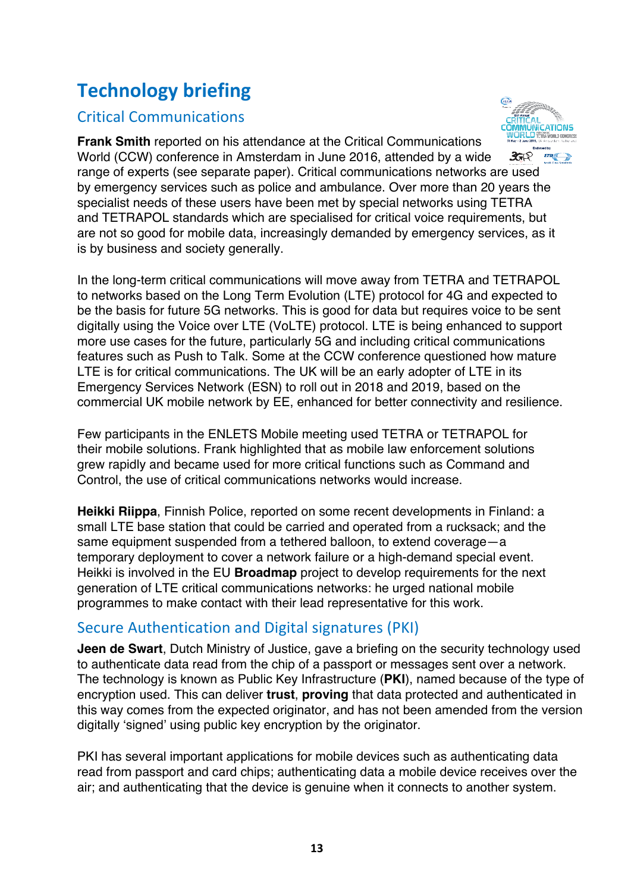# **Technology briefing**

## Critical Communications



**Frank Smith** reported on his attendance at the Critical Communications World (CCW) conference in Amsterdam in June 2016, attended by a wide  $35R$ range of experts (see separate paper). Critical communications networks are used by emergency services such as police and ambulance. Over more than 20 years the specialist needs of these users have been met by special networks using TETRA and TETRAPOL standards which are specialised for critical voice requirements, but are not so good for mobile data, increasingly demanded by emergency services, as it is by business and society generally.

In the long-term critical communications will move away from TETRA and TETRAPOL to networks based on the Long Term Evolution (LTE) protocol for 4G and expected to be the basis for future 5G networks. This is good for data but requires voice to be sent digitally using the Voice over LTE (VoLTE) protocol. LTE is being enhanced to support more use cases for the future, particularly 5G and including critical communications features such as Push to Talk. Some at the CCW conference questioned how mature LTE is for critical communications. The UK will be an early adopter of LTE in its Emergency Services Network (ESN) to roll out in 2018 and 2019, based on the commercial UK mobile network by EE, enhanced for better connectivity and resilience.

Few participants in the ENLETS Mobile meeting used TETRA or TETRAPOL for their mobile solutions. Frank highlighted that as mobile law enforcement solutions grew rapidly and became used for more critical functions such as Command and Control, the use of critical communications networks would increase.

**Heikki Riippa**, Finnish Police, reported on some recent developments in Finland: a small LTE base station that could be carried and operated from a rucksack; and the same equipment suspended from a tethered balloon, to extend coverage—a temporary deployment to cover a network failure or a high-demand special event. Heikki is involved in the EU **Broadmap** project to develop requirements for the next generation of LTE critical communications networks: he urged national mobile programmes to make contact with their lead representative for this work.

## Secure Authentication and Digital signatures (PKI)

**Jeen de Swart**, Dutch Ministry of Justice, gave a briefing on the security technology used to authenticate data read from the chip of a passport or messages sent over a network. The technology is known as Public Key Infrastructure (**PKI**), named because of the type of encryption used. This can deliver **trust**, **proving** that data protected and authenticated in this way comes from the expected originator, and has not been amended from the version digitally 'signed' using public key encryption by the originator.

PKI has several important applications for mobile devices such as authenticating data read from passport and card chips; authenticating data a mobile device receives over the air; and authenticating that the device is genuine when it connects to another system.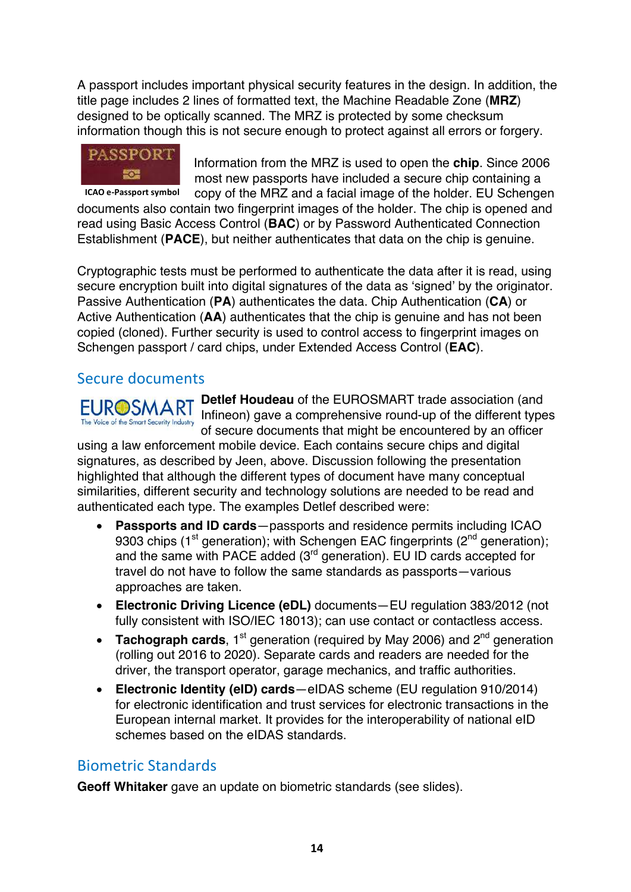A passport includes important physical security features in the design. In addition, the title page includes 2 lines of formatted text, the Machine Readable Zone (**MRZ**) designed to be optically scanned. The MRZ is protected by some checksum information though this is not secure enough to protect against all errors or forgery.



Information from the MRZ is used to open the **chip**. Since 2006 most new passports have included a secure chip containing a copy of the MRZ and a facial image of the holder. EU Schengen

documents also contain two fingerprint images of the holder. The chip is opened and read using Basic Access Control (**BAC**) or by Password Authenticated Connection Establishment (**PACE**), but neither authenticates that data on the chip is genuine. **ICAO** e-Passport symbol

Cryptographic tests must be performed to authenticate the data after it is read, using secure encryption built into digital signatures of the data as 'signed' by the originator. Passive Authentication (**PA**) authenticates the data. Chip Authentication (**CA**) or Active Authentication (**AA**) authenticates that the chip is genuine and has not been copied (cloned). Further security is used to control access to fingerprint images on Schengen passport / card chips, under Extended Access Control (**EAC**).

#### Secure documents

**Detlef Houdeau** of the EUROSMART trade association (and Infineon) gave a comprehensive round-up of the different types The Voice of the Smart Security Industry<br> **of secure documents that might be encountered by an officer** 

using a law enforcement mobile device. Each contains secure chips and digital signatures, as described by Jeen, above. Discussion following the presentation highlighted that although the different types of document have many conceptual similarities, different security and technology solutions are needed to be read and authenticated each type. The examples Detlef described were:

- **Passports and ID cards**—passports and residence permits including ICAO 9303 chips (1<sup>st</sup> generation); with Schengen EAC fingerprints (2<sup>nd</sup> generation); and the same with PACE added (3rd generation). EU ID cards accepted for travel do not have to follow the same standards as passports—various approaches are taken.
- **Electronic Driving Licence (eDL)** documents—EU regulation 383/2012 (not fully consistent with ISO/IEC 18013); can use contact or contactless access.
- **Tachograph cards**, 1<sup>st</sup> generation (required by May 2006) and 2<sup>nd</sup> generation (rolling out 2016 to 2020). Separate cards and readers are needed for the driver, the transport operator, garage mechanics, and traffic authorities.
- **Electronic Identity (eID) cards**—eIDAS scheme (EU regulation 910/2014) for electronic identification and trust services for electronic transactions in the European internal market. It provides for the interoperability of national eID schemes based on the eIDAS standards.

#### Biometric Standards

**Geoff Whitaker** gave an update on biometric standards (see slides).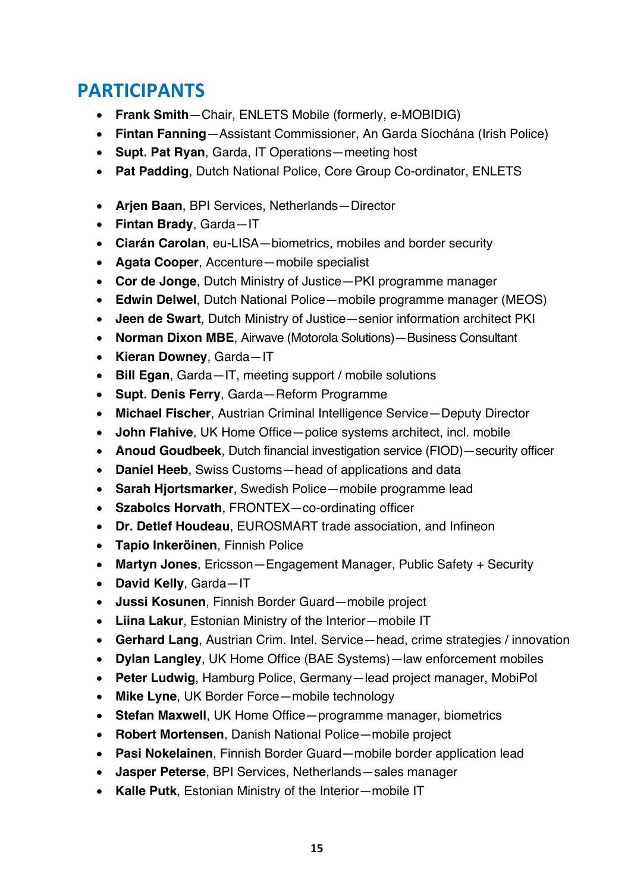# **PARTICIPANTS**

- **Frank Smith**—Chair, ENLETS Mobile (formerly, e-MOBIDIG)
- **Fintan Fanning**—Assistant Commissioner, An Garda Síochána (Irish Police)
- **Supt. Pat Ryan**, Garda, IT Operations—meeting host
- **Pat Padding**, Dutch National Police, Core Group Co-ordinator, ENLETS
- **Arjen Baan**, BPI Services, Netherlands—Director
- **Fintan Brady**, Garda—IT
- **Ciarán Carolan**, eu-LISA—biometrics, mobiles and border security
- **Agata Cooper**, Accenture—mobile specialist
- **Cor de Jonge**, Dutch Ministry of Justice—PKI programme manager
- **Edwin Delwel**, Dutch National Police—mobile programme manager (MEOS)
- **Jeen de Swart**, Dutch Ministry of Justice—senior information architect PKI
- **Norman Dixon MBE**, Airwave (Motorola Solutions)—Business Consultant
- **Kieran Downey**, Garda—IT
- **Bill Egan**, Garda—IT, meeting support / mobile solutions
- **Supt. Denis Ferry**, Garda—Reform Programme
- **Michael Fischer**, Austrian Criminal Intelligence Service—Deputy Director
- **John Flahive**, UK Home Office—police systems architect, incl. mobile
- **Anoud Goudbeek**, Dutch financial investigation service (FIOD)—security officer
- **Daniel Heeb**, Swiss Customs—head of applications and data
- **Sarah Hjortsmarker**, Swedish Police—mobile programme lead
- **Szabolcs Horvath**, FRONTEX—co-ordinating officer
- **Dr. Detlef Houdeau**, EUROSMART trade association, and Infineon
- **Tapio Inkeröinen**, Finnish Police
- **Martyn Jones**, Ericsson—Engagement Manager, Public Safety + Security
- **David Kelly**, Garda—IT
- **Jussi Kosunen**, Finnish Border Guard—mobile project
- **Liina Lakur**, Estonian Ministry of the Interior—mobile IT
- **Gerhard Lang**, Austrian Crim. Intel. Service—head, crime strategies / innovation
- **Dylan Langley**, UK Home Office (BAE Systems)—law enforcement mobiles
- **Peter Ludwig**, Hamburg Police, Germany—lead project manager, MobiPol
- **Mike Lyne**, UK Border Force—mobile technology
- **Stefan Maxwell**, UK Home Office—programme manager, biometrics
- **Robert Mortensen**, Danish National Police—mobile project
- **Pasi Nokelainen**, Finnish Border Guard—mobile border application lead
- **Jasper Peterse**, BPI Services, Netherlands—sales manager
- **Kalle Putk**, Estonian Ministry of the Interior—mobile IT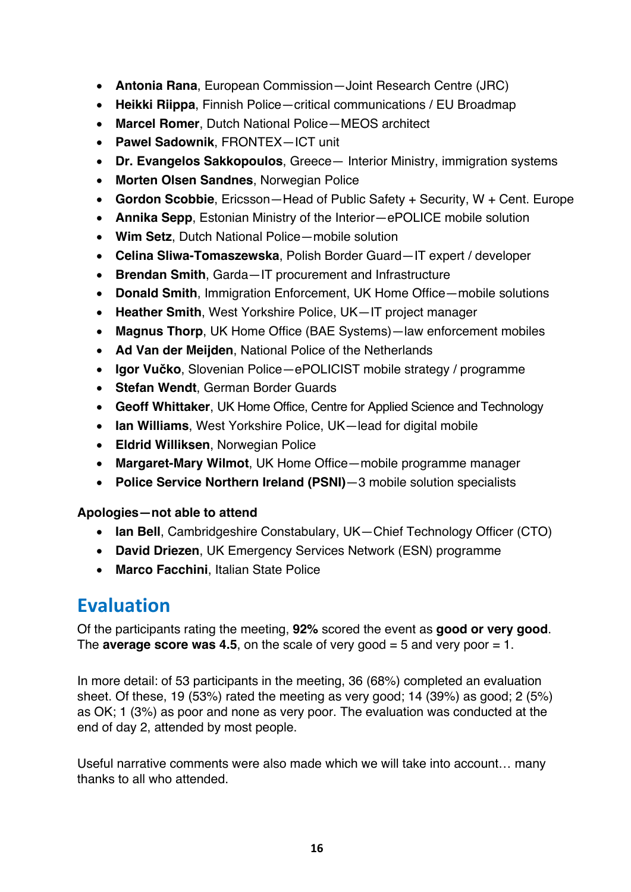- **Antonia Rana**, European Commission—Joint Research Centre (JRC)
- **Heikki Riippa**, Finnish Police—critical communications / EU Broadmap
- **Marcel Romer**, Dutch National Police—MEOS architect
- **Pawel Sadownik**, FRONTEX—ICT unit
- **Dr. Evangelos Sakkopoulos**, Greece— Interior Ministry, immigration systems
- **Morten Olsen Sandnes**, Norwegian Police
- **Gordon Scobbie**, Ericsson—Head of Public Safety + Security, W + Cent. Europe
- **Annika Sepp**, Estonian Ministry of the Interior—ePOLICE mobile solution
- **Wim Setz**, Dutch National Police—mobile solution
- **Celina Sliwa-Tomaszewska**, Polish Border Guard—IT expert / developer
- **Brendan Smith**, Garda—IT procurement and Infrastructure
- **Donald Smith**, Immigration Enforcement, UK Home Office—mobile solutions
- **Heather Smith**, West Yorkshire Police, UK—IT project manager
- **Magnus Thorp**, UK Home Office (BAE Systems)—law enforcement mobiles
- **Ad Van der Meijden**, National Police of the Netherlands
- **Igor Vučko**, Slovenian Police—ePOLICIST mobile strategy / programme
- **Stefan Wendt**, German Border Guards
- **Geoff Whittaker**, UK Home Office, Centre for Applied Science and Technology
- **Ian Williams**, West Yorkshire Police, UK—lead for digital mobile
- **Eldrid Williksen**, Norwegian Police
- **Margaret-Mary Wilmot**, UK Home Office—mobile programme manager
- **Police Service Northern Ireland (PSNI)**—3 mobile solution specialists

#### **Apologies—not able to attend**

- **Ian Bell**, Cambridgeshire Constabulary, UK—Chief Technology Officer (CTO)
- **David Driezen**, UK Emergency Services Network (ESN) programme
- **Marco Facchini**, Italian State Police

# **Evaluation**

Of the participants rating the meeting, **92%** scored the event as **good or very good**. The **average score was 4.5**, on the scale of very good  $=$  5 and very poor  $=$  1.

In more detail: of 53 participants in the meeting, 36 (68%) completed an evaluation sheet. Of these, 19 (53%) rated the meeting as very good; 14 (39%) as good; 2 (5%) as OK; 1 (3%) as poor and none as very poor. The evaluation was conducted at the end of day 2, attended by most people.

Useful narrative comments were also made which we will take into account… many thanks to all who attended.